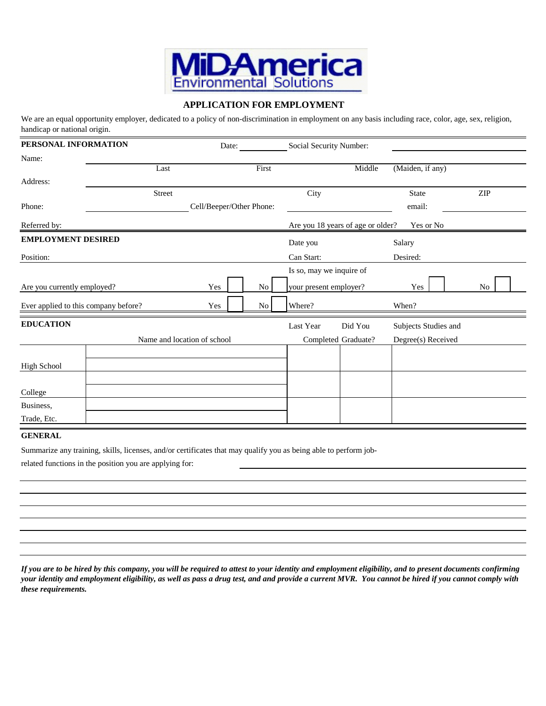

## **APPLICATION FOR EMPLOYMENT**

We are an equal opportunity employer, dedicated to a policy of non-discrimination in employment on any basis including race, color, age, sex, religion, handicap or national origin.

| PERSONAL INFORMATION                 |                             | Date:                    |       | Social Security Number:  |                                   |                      |                |
|--------------------------------------|-----------------------------|--------------------------|-------|--------------------------|-----------------------------------|----------------------|----------------|
| Name:                                |                             |                          |       |                          |                                   |                      |                |
| Address:                             | Last                        |                          | First |                          | Middle                            | (Maiden, if any)     |                |
|                                      | Street                      |                          |       | City                     |                                   | <b>State</b>         | <b>ZIP</b>     |
| Phone:                               |                             | Cell/Beeper/Other Phone: |       |                          |                                   | email:               |                |
| Referred by:                         |                             |                          |       |                          | Are you 18 years of age or older? | Yes or No            |                |
| <b>EMPLOYMENT DESIRED</b>            |                             |                          |       | Date you                 |                                   | Salary               |                |
| Position:                            |                             |                          |       | Can Start:               |                                   | Desired:             |                |
|                                      |                             |                          |       | Is so, may we inquire of |                                   |                      |                |
| Are you currently employed?          |                             | Yes                      | No    | your present employer?   |                                   | Yes                  | N <sub>0</sub> |
| Ever applied to this company before? |                             | Yes                      | No    | Where?                   |                                   | When?                |                |
| <b>EDUCATION</b>                     |                             |                          |       | Last Year                | Did You                           | Subjects Studies and |                |
|                                      | Name and location of school |                          |       |                          | Completed Graduate?               | Degree(s) Received   |                |
| <b>High School</b>                   |                             |                          |       |                          |                                   |                      |                |
|                                      |                             |                          |       |                          |                                   |                      |                |
| College                              |                             |                          |       |                          |                                   |                      |                |
| Business,                            |                             |                          |       |                          |                                   |                      |                |
| Trade, Etc.                          |                             |                          |       |                          |                                   |                      |                |

#### **GENERAL**

Summarize any training, skills, licenses, and/or certificates that may qualify you as being able to perform job-

related functions in the position you are applying for:

*If you are to be hired by this company, you will be required to attest to your identity and employment eligibility, and to present documents confirming your identity and employment eligibility, as well as pass a drug test, and and provide a current MVR. You cannot be hired if you cannot comply with these requirements.*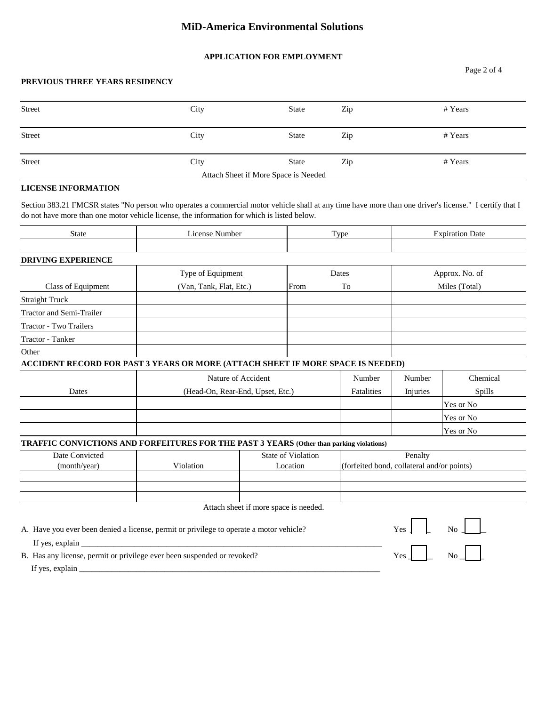# **MiD-America Environmental Solutions**

### **APPLICATION FOR EMPLOYMENT**

### **PREVIOUS THREE YEARS RESIDENCY**

| Street                               | City | State | Zip | # Years |  |
|--------------------------------------|------|-------|-----|---------|--|
| Street                               | City | State | Zip | # Years |  |
| Street                               | City | State | Zip | # Years |  |
| Attach Sheet if More Space is Needed |      |       |     |         |  |

## **LICENSE INFORMATION**

Section 383.21 FMCSR states "No person who operates a commercial motor vehicle shall at any time have more than one driver's license." I certify that I do not have more than one motor vehicle license, the information for which is listed below.

| <b>State</b>                                                                                                                                                                                                                                                                                                                                                                                                       | <b>License Number</b>                |                                       | Type   |                                            | <b>Expiration Date</b> |                |
|--------------------------------------------------------------------------------------------------------------------------------------------------------------------------------------------------------------------------------------------------------------------------------------------------------------------------------------------------------------------------------------------------------------------|--------------------------------------|---------------------------------------|--------|--------------------------------------------|------------------------|----------------|
| <b>DRIVING EXPERIENCE</b>                                                                                                                                                                                                                                                                                                                                                                                          |                                      |                                       |        |                                            |                        |                |
|                                                                                                                                                                                                                                                                                                                                                                                                                    | Type of Equipment                    |                                       |        | Dates                                      |                        | Approx. No. of |
| Class of Equipment                                                                                                                                                                                                                                                                                                                                                                                                 | (Van, Tank, Flat, Etc.)              |                                       | From   | To                                         |                        | Miles (Total)  |
| <b>Straight Truck</b>                                                                                                                                                                                                                                                                                                                                                                                              |                                      |                                       |        |                                            |                        |                |
| Tractor and Semi-Trailer                                                                                                                                                                                                                                                                                                                                                                                           |                                      |                                       |        |                                            |                        |                |
| Tractor - Two Trailers                                                                                                                                                                                                                                                                                                                                                                                             |                                      |                                       |        |                                            |                        |                |
| <b>Tractor - Tanker</b>                                                                                                                                                                                                                                                                                                                                                                                            |                                      |                                       |        |                                            |                        |                |
| Other                                                                                                                                                                                                                                                                                                                                                                                                              |                                      |                                       |        |                                            |                        |                |
| ACCIDENT RECORD FOR PAST 3 YEARS OR MORE (ATTACH SHEET IF MORE SPACE IS NEEDED)                                                                                                                                                                                                                                                                                                                                    |                                      |                                       |        |                                            |                        |                |
|                                                                                                                                                                                                                                                                                                                                                                                                                    | Nature of Accident                   |                                       | Number | Number                                     | Chemical               |                |
| Dates                                                                                                                                                                                                                                                                                                                                                                                                              | (Head-On, Rear-End, Upset, Etc.)     |                                       |        | Fatalities                                 | Injuries               | Spills         |
|                                                                                                                                                                                                                                                                                                                                                                                                                    |                                      |                                       |        |                                            |                        | Yes or No      |
|                                                                                                                                                                                                                                                                                                                                                                                                                    |                                      |                                       |        |                                            |                        | Yes or No      |
|                                                                                                                                                                                                                                                                                                                                                                                                                    |                                      |                                       |        |                                            |                        | Yes or No      |
| TRAFFIC CONVICTIONS AND FORFEITURES FOR THE PAST 3 YEARS (Other than parking violations)                                                                                                                                                                                                                                                                                                                           |                                      |                                       |        |                                            |                        |                |
| Date Convicted                                                                                                                                                                                                                                                                                                                                                                                                     | <b>State of Violation</b><br>Penalty |                                       |        |                                            |                        |                |
| (month/year)                                                                                                                                                                                                                                                                                                                                                                                                       | Violation                            | Location                              |        | (forfeited bond, collateral and/or points) |                        |                |
|                                                                                                                                                                                                                                                                                                                                                                                                                    |                                      |                                       |        |                                            |                        |                |
|                                                                                                                                                                                                                                                                                                                                                                                                                    |                                      |                                       |        |                                            |                        |                |
|                                                                                                                                                                                                                                                                                                                                                                                                                    |                                      | Attach sheet if more space is needed. |        |                                            |                        |                |
|                                                                                                                                                                                                                                                                                                                                                                                                                    |                                      |                                       |        |                                            |                        | No             |
| A. Have you ever been denied a license, permit or privilege to operate a motor vehicle?                                                                                                                                                                                                                                                                                                                            |                                      |                                       |        |                                            | <b>Yes</b>             |                |
| If yes, explain $\frac{1}{\sqrt{1-\frac{1}{\sqrt{1-\frac{1}{\sqrt{1-\frac{1}{\sqrt{1-\frac{1}{\sqrt{1-\frac{1}{\sqrt{1-\frac{1}{\sqrt{1-\frac{1}{\sqrt{1-\frac{1}{\sqrt{1-\frac{1}{\sqrt{1-\frac{1}{\sqrt{1-\frac{1}{\sqrt{1-\frac{1}{\sqrt{1-\frac{1}{\sqrt{1-\frac{1}{\sqrt{1-\frac{1}{\sqrt{1-\frac{1}{\sqrt{1-\frac{1}{\sqrt{1-\frac{1}{\sqrt{1-\frac{1}{\sqrt{1-\frac{1}{\sqrt{1-\frac{1}{\sqrt{1-\frac{1}{\$ |                                      |                                       |        |                                            |                        |                |
| B. Has any license, permit or privilege ever been suspended or revoked?                                                                                                                                                                                                                                                                                                                                            |                                      |                                       |        |                                            | Yes                    | No             |
|                                                                                                                                                                                                                                                                                                                                                                                                                    |                                      |                                       |        |                                            |                        |                |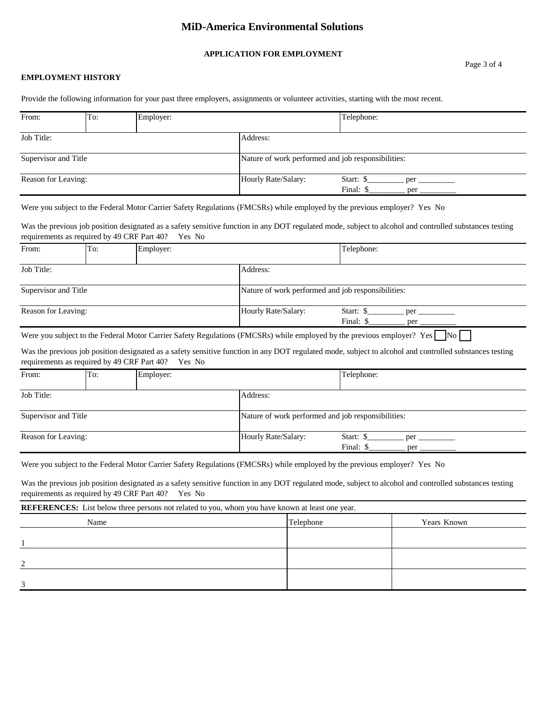## **MiD-America Environmental Solutions**

#### **APPLICATION FOR EMPLOYMENT**

#### **EMPLOYMENT HISTORY**

Provide the following information for your past three employers, assignments or volunteer activities, starting with the most recent.

| From:                | To: | Employer:           |                                                    | Telephone: |  |
|----------------------|-----|---------------------|----------------------------------------------------|------------|--|
| Job Title:           |     |                     | Address:                                           |            |  |
| Supervisor and Title |     |                     | Nature of work performed and job responsibilities: |            |  |
| Reason for Leaving:  |     | Hourly Rate/Salary: | Start: \$<br>per<br>Final: \$<br>per               |            |  |

Were you subject to the Federal Motor Carrier Safety Regulations (FMCSRs) while employed by the previous employer? Yes No

Was the previous job position designated as a safety sensitive function in any DOT regulated mode, subject to alcohol and controlled substances testing requirements as required by 49 CRF Part 40? Yes No

| From:                | To: | Employer:                                          |                     | Telephone:                           |
|----------------------|-----|----------------------------------------------------|---------------------|--------------------------------------|
| Job Title:           |     |                                                    | Address:            |                                      |
| Supervisor and Title |     | Nature of work performed and job responsibilities: |                     |                                      |
| Reason for Leaving:  |     |                                                    | Hourly Rate/Salary: | Start: \$<br>per<br>Final: \$<br>per |

Were you subject to the Federal Motor Carrier Safety Regulations (FMCSRs) while employed by the previous employer? Yes  $\Box$  No

Was the previous job position designated as a safety sensitive function in any DOT regulated mode, subject to alcohol and controlled substances testing requirements as required by 49 CRF Part 40? Yes No

| From:                | To: | Employer:                                          |                     | Telephone:             |            |
|----------------------|-----|----------------------------------------------------|---------------------|------------------------|------------|
| Job Title:           |     | Address:                                           |                     |                        |            |
| Supervisor and Title |     | Nature of work performed and job responsibilities: |                     |                        |            |
| Reason for Leaving:  |     |                                                    | Hourly Rate/Salary: | Start: \$<br>Final: \$ | per<br>per |

Were you subject to the Federal Motor Carrier Safety Regulations (FMCSRs) while employed by the previous employer? Yes No

Was the previous job position designated as a safety sensitive function in any DOT regulated mode, subject to alcohol and controlled substances testing requirements as required by 49 CRF Part 40? Yes No

**REFERENCES:** List below three persons not related to you, whom you have known at least one year.

| Name               | Telephone | Years Known |
|--------------------|-----------|-------------|
|                    |           |             |
| $\mathcal{L}$<br>∸ |           |             |
| 3                  |           |             |